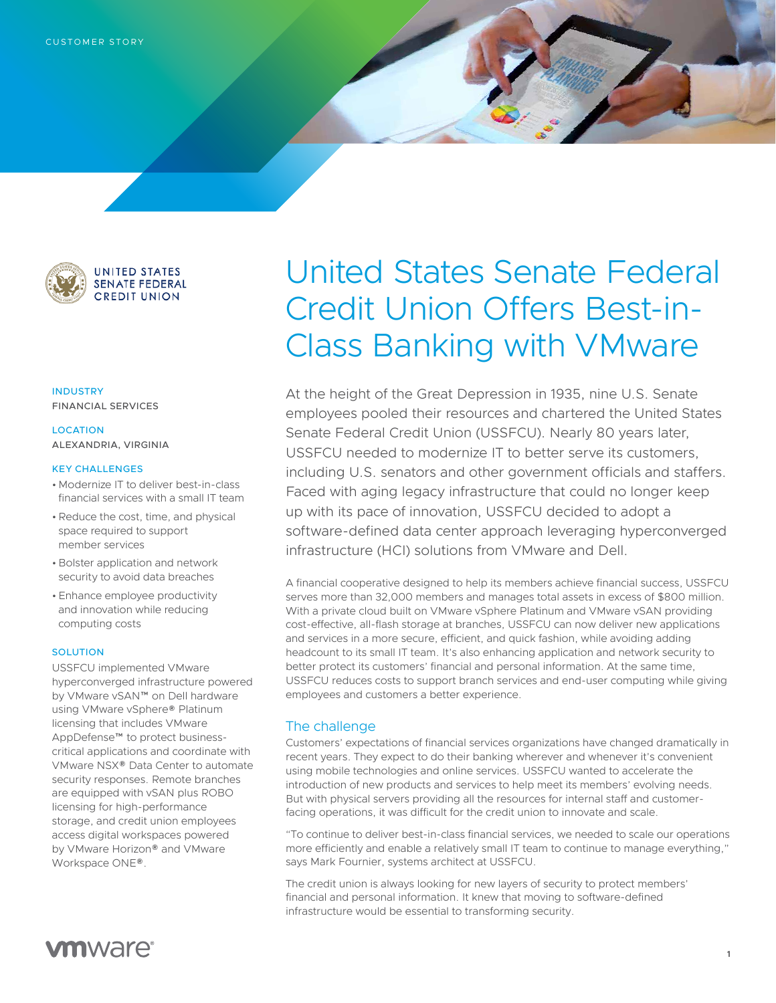

**UNITED STATES SENATE FEDERAL CREDIT UNION** 

INDUSTRY FINANCIAL SERVICES

## LOCATION ALEXANDRIA, VIRGINIA

## KEY CHALLENGES

- Modernize IT to deliver best-in-class financial services with a small IT team
- •Reduce the cost, time, and physical space required to support member services
- Bolster application and network security to avoid data breaches
- Enhance employee productivity and innovation while reducing computing costs

## **SOLUTION**

USSFCU implemented VMware hyperconverged infrastructure powered by VMware vSAN™ on Dell hardware using VMware vSphere® Platinum licensing that includes VMware AppDefense™ to protect businesscritical applications and coordinate with VMware NSX® Data Center to automate security responses. Remote branches are equipped with vSAN plus ROBO licensing for high-performance storage, and credit union employees access digital workspaces powered by VMware Horizon® and VMware Workspace ONE®.

# United States Senate Federal Credit Union Offers Best-in-Class Banking with VMware

At the height of the Great Depression in 1935, nine U.S. Senate employees pooled their resources and chartered the United States Senate Federal Credit Union (USSFCU). Nearly 80 years later, USSFCU needed to modernize IT to better serve its customers, including U.S. senators and other government officials and staffers. Faced with aging legacy infrastructure that could no longer keep up with its pace of innovation, USSFCU decided to adopt a software-defined data center approach leveraging hyperconverged infrastructure (HCI) solutions from VMware and Dell.

A financial cooperative designed to help its members achieve financial success, USSFCU serves more than 32,000 members and manages total assets in excess of \$800 million. With a private cloud built on VMware vSphere Platinum and VMware vSAN providing cost-effective, all-flash storage at branches, USSFCU can now deliver new applications and services in a more secure, efficient, and quick fashion, while avoiding adding headcount to its small IT team. It's also enhancing application and network security to better protect its customers' financial and personal information. At the same time, USSFCU reduces costs to support branch services and end-user computing while giving employees and customers a better experience.

## The challenge

Customers' expectations of financial services organizations have changed dramatically in recent years. They expect to do their banking wherever and whenever it's convenient using mobile technologies and online services. USSFCU wanted to accelerate the introduction of new products and services to help meet its members' evolving needs. But with physical servers providing all the resources for internal staff and customerfacing operations, it was difficult for the credit union to innovate and scale.

"To continue to deliver best-in-class financial services, we needed to scale our operations more efficiently and enable a relatively small IT team to continue to manage everything," says Mark Fournier, systems architect at USSFCU.

The credit union is always looking for new layers of security to protect members' financial and personal information. It knew that moving to software-defined infrastructure would be essential to transforming security.

## **vm**ware<sup>®</sup>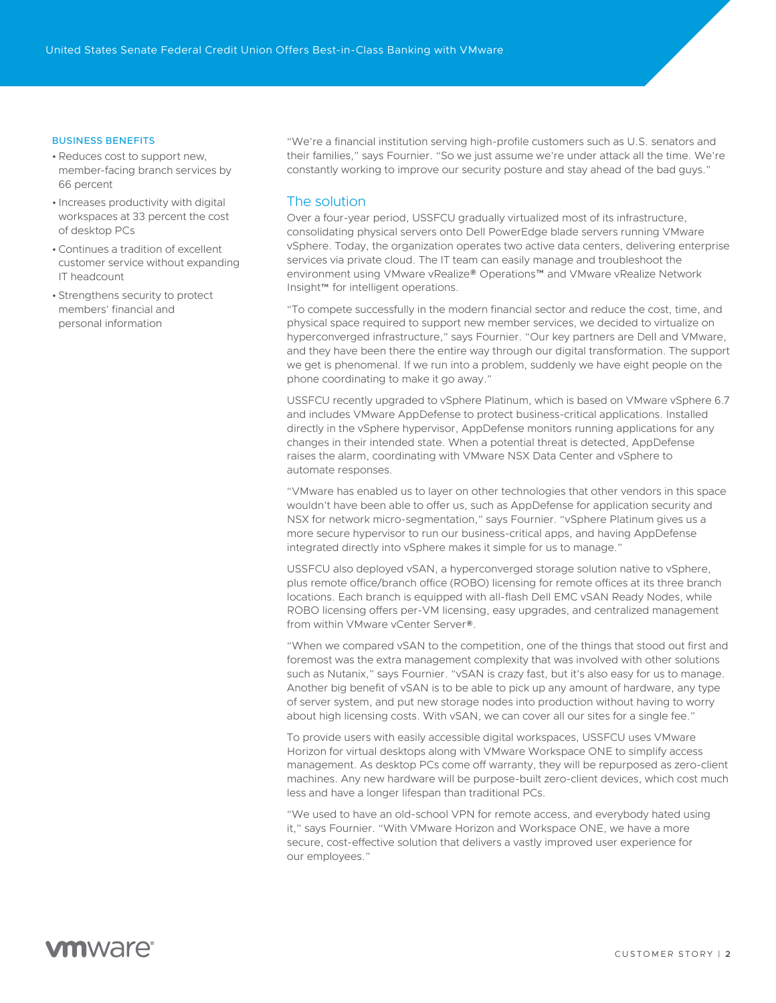### BUSINESS BENEFITS

- •Reduces cost to support new, member-facing branch services by 66 percent
- Increases productivity with digital workspaces at 33 percent the cost of desktop PCs
- •Continues a tradition of excellent customer service without expanding IT headcount
- Strengthens security to protect members' financial and personal information

"We're a financial institution serving high-profile customers such as U.S. senators and their families," says Fournier. "So we just assume we're under attack all the time. We're constantly working to improve our security posture and stay ahead of the bad guys."

## The solution

Over a four-year period, USSFCU gradually virtualized most of its infrastructure, consolidating physical servers onto Dell PowerEdge blade servers running VMware vSphere. Today, the organization operates two active data centers, delivering enterprise services via private cloud. The IT team can easily manage and troubleshoot the environment using VMware vRealize® Operations™ and VMware vRealize Network Insight™ for intelligent operations.

"To compete successfully in the modern financial sector and reduce the cost, time, and physical space required to support new member services, we decided to virtualize on hyperconverged infrastructure," says Fournier. "Our key partners are Dell and VMware, and they have been there the entire way through our digital transformation. The support we get is phenomenal. If we run into a problem, suddenly we have eight people on the phone coordinating to make it go away."

USSFCU recently upgraded to vSphere Platinum, which is based on VMware vSphere 6.7 and includes VMware AppDefense to protect business-critical applications. Installed directly in the vSphere hypervisor, AppDefense monitors running applications for any changes in their intended state. When a potential threat is detected, AppDefense raises the alarm, coordinating with VMware NSX Data Center and vSphere to automate responses.

"VMware has enabled us to layer on other technologies that other vendors in this space wouldn't have been able to offer us, such as AppDefense for application security and NSX for network micro-segmentation," says Fournier. "vSphere Platinum gives us a more secure hypervisor to run our business-critical apps, and having AppDefense integrated directly into vSphere makes it simple for us to manage."

USSFCU also deployed vSAN, a hyperconverged storage solution native to vSphere, plus remote office/branch office (ROBO) licensing for remote offices at its three branch locations. Each branch is equipped with all-flash Dell EMC vSAN Ready Nodes, while ROBO licensing offers per-VM licensing, easy upgrades, and centralized management from within VMware vCenter Server®.

"When we compared vSAN to the competition, one of the things that stood out first and foremost was the extra management complexity that was involved with other solutions such as Nutanix," says Fournier. "vSAN is crazy fast, but it's also easy for us to manage. Another big benefit of vSAN is to be able to pick up any amount of hardware, any type of server system, and put new storage nodes into production without having to worry about high licensing costs. With vSAN, we can cover all our sites for a single fee."

To provide users with easily accessible digital workspaces, USSFCU uses VMware Horizon for virtual desktops along with VMware Workspace ONE to simplify access management. As desktop PCs come off warranty, they will be repurposed as zero-client machines. Any new hardware will be purpose-built zero-client devices, which cost much less and have a longer lifespan than traditional PCs.

"We used to have an old-school VPN for remote access, and everybody hated using it," says Fournier. "With VMware Horizon and Workspace ONE, we have a more secure, cost-effective solution that delivers a vastly improved user experience for our employees."